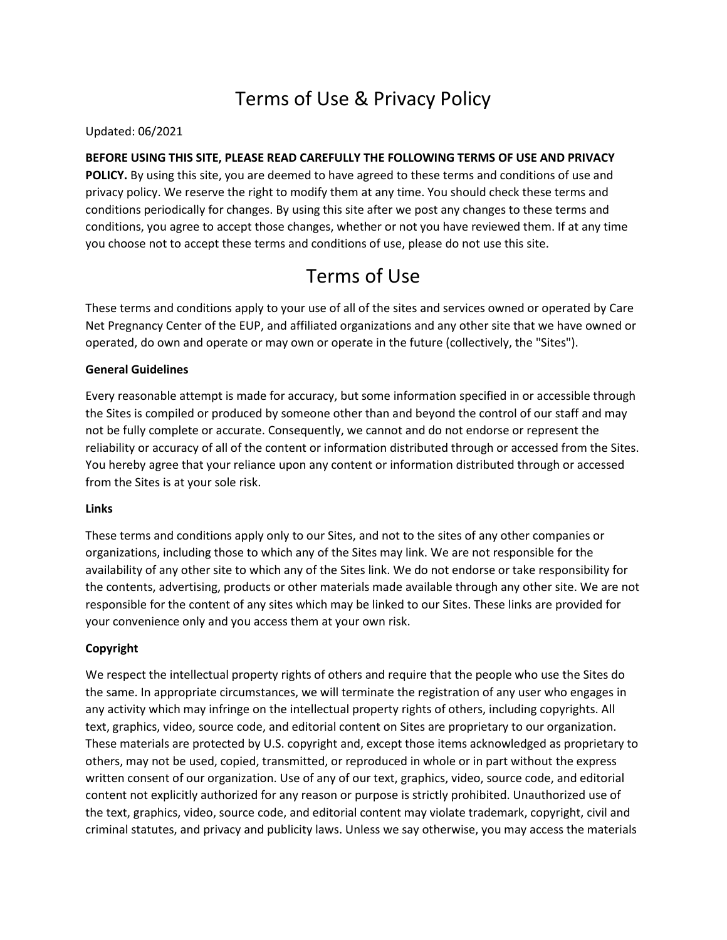# Terms of Use & Privacy Policy

Updated: 06/2021

# **BEFORE USING THIS SITE, PLEASE READ CAREFULLY THE FOLLOWING TERMS OF USE AND PRIVACY**

**POLICY.** By using this site, you are deemed to have agreed to these terms and conditions of use and privacy policy. We reserve the right to modify them at any time. You should check these terms and conditions periodically for changes. By using this site after we post any changes to these terms and conditions, you agree to accept those changes, whether or not you have reviewed them. If at any time you choose not to accept these terms and conditions of use, please do not use this site.

# Terms of Use

These terms and conditions apply to your use of all of the sites and services owned or operated by Care Net Pregnancy Center of the EUP, and affiliated organizations and any other site that we have owned or operated, do own and operate or may own or operate in the future (collectively, the "Sites").

# **General Guidelines**

Every reasonable attempt is made for accuracy, but some information specified in or accessible through the Sites is compiled or produced by someone other than and beyond the control of our staff and may not be fully complete or accurate. Consequently, we cannot and do not endorse or represent the reliability or accuracy of all of the content or information distributed through or accessed from the Sites. You hereby agree that your reliance upon any content or information distributed through or accessed from the Sites is at your sole risk.

#### **Links**

These terms and conditions apply only to our Sites, and not to the sites of any other companies or organizations, including those to which any of the Sites may link. We are not responsible for the availability of any other site to which any of the Sites link. We do not endorse or take responsibility for the contents, advertising, products or other materials made available through any other site. We are not responsible for the content of any sites which may be linked to our Sites. These links are provided for your convenience only and you access them at your own risk.

# **Copyright**

We respect the intellectual property rights of others and require that the people who use the Sites do the same. In appropriate circumstances, we will terminate the registration of any user who engages in any activity which may infringe on the intellectual property rights of others, including copyrights. All text, graphics, video, source code, and editorial content on Sites are proprietary to our organization. These materials are protected by U.S. copyright and, except those items acknowledged as proprietary to others, may not be used, copied, transmitted, or reproduced in whole or in part without the express written consent of our organization. Use of any of our text, graphics, video, source code, and editorial content not explicitly authorized for any reason or purpose is strictly prohibited. Unauthorized use of the text, graphics, video, source code, and editorial content may violate trademark, copyright, civil and criminal statutes, and privacy and publicity laws. Unless we say otherwise, you may access the materials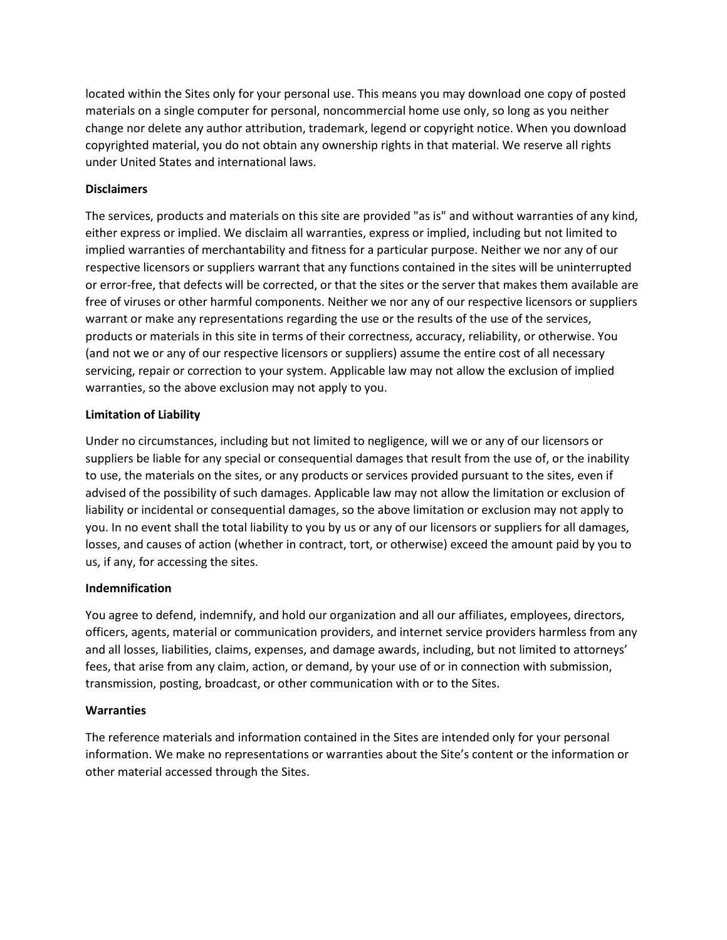located within the Sites only for your personal use. This means you may download one copy of posted materials on a single computer for personal, noncommercial home use only, so long as you neither change nor delete any author attribution, trademark, legend or copyright notice. When you download copyrighted material, you do not obtain any ownership rights in that material. We reserve all rights under United States and international laws.

#### **Disclaimers**

The services, products and materials on this site are provided "as is" and without warranties of any kind, either express or implied. We disclaim all warranties, express or implied, including but not limited to implied warranties of merchantability and fitness for a particular purpose. Neither we nor any of our respective licensors or suppliers warrant that any functions contained in the sites will be uninterrupted or error-free, that defects will be corrected, or that the sites or the server that makes them available are free of viruses or other harmful components. Neither we nor any of our respective licensors or suppliers warrant or make any representations regarding the use or the results of the use of the services, products or materials in this site in terms of their correctness, accuracy, reliability, or otherwise. You (and not we or any of our respective licensors or suppliers) assume the entire cost of all necessary servicing, repair or correction to your system. Applicable law may not allow the exclusion of implied warranties, so the above exclusion may not apply to you.

## **Limitation of Liability**

Under no circumstances, including but not limited to negligence, will we or any of our licensors or suppliers be liable for any special or consequential damages that result from the use of, or the inability to use, the materials on the sites, or any products or services provided pursuant to the sites, even if advised of the possibility of such damages. Applicable law may not allow the limitation or exclusion of liability or incidental or consequential damages, so the above limitation or exclusion may not apply to you. In no event shall the total liability to you by us or any of our licensors or suppliers for all damages, losses, and causes of action (whether in contract, tort, or otherwise) exceed the amount paid by you to us, if any, for accessing the sites.

#### **Indemnification**

You agree to defend, indemnify, and hold our organization and all our affiliates, employees, directors, officers, agents, material or communication providers, and internet service providers harmless from any and all losses, liabilities, claims, expenses, and damage awards, including, but not limited to attorneys' fees, that arise from any claim, action, or demand, by your use of or in connection with submission, transmission, posting, broadcast, or other communication with or to the Sites.

#### **Warranties**

The reference materials and information contained in the Sites are intended only for your personal information. We make no representations or warranties about the Site's content or the information or other material accessed through the Sites.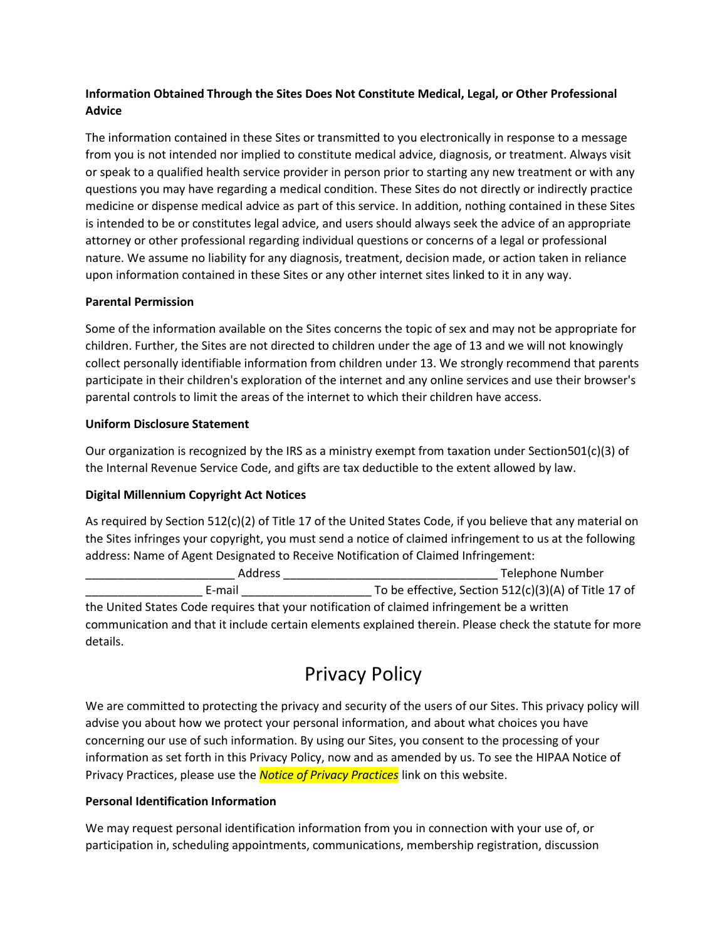# **Information Obtained Through the Sites Does Not Constitute Medical, Legal, or Other Professional Advice**

The information contained in these Sites or transmitted to you electronically in response to a message from you is not intended nor implied to constitute medical advice, diagnosis, or treatment. Always visit or speak to a qualified health service provider in person prior to starting any new treatment or with any questions you may have regarding a medical condition. These Sites do not directly or indirectly practice medicine or dispense medical advice as part of this service. In addition, nothing contained in these Sites is intended to be or constitutes legal advice, and users should always seek the advice of an appropriate attorney or other professional regarding individual questions or concerns of a legal or professional nature. We assume no liability for any diagnosis, treatment, decision made, or action taken in reliance upon information contained in these Sites or any other internet sites linked to it in any way.

## **Parental Permission**

Some of the information available on the Sites concerns the topic of sex and may not be appropriate for children. Further, the Sites are not directed to children under the age of 13 and we will not knowingly collect personally identifiable information from children under 13. We strongly recommend that parents participate in their children's exploration of the internet and any online services and use their browser's parental controls to limit the areas of the internet to which their children have access.

## **Uniform Disclosure Statement**

Our organization is recognized by the IRS as a ministry exempt from taxation under Section501(c)(3) of the Internal Revenue Service Code, and gifts are tax deductible to the extent allowed by law.

# **Digital Millennium Copyright Act Notices**

As required by Section 512(c)(2) of Title 17 of the United States Code, if you believe that any material on the Sites infringes your copyright, you must send a notice of claimed infringement to us at the following address: Name of Agent Designated to Receive Notification of Claimed Infringement:

| Address                                                                                     | Telephone Number                                       |
|---------------------------------------------------------------------------------------------|--------------------------------------------------------|
| E-mail                                                                                      | To be effective, Section $512(c)(3)(A)$ of Title 17 of |
| the United States Code requires that your notification of claimed infringement be a written |                                                        |

communication and that it include certain elements explained therein. Please check the statute for more details.

# Privacy Policy

We are committed to protecting the privacy and security of the users of our Sites. This privacy policy will advise you about how we protect your personal information, and about what choices you have concerning our use of such information. By using our Sites, you consent to the processing of your information as set forth in this Privacy Policy, now and as amended by us. To see the HIPAA Notice of Privacy Practices, please use the *Notice of Privacy Practices* link on this website.

# **Personal Identification Information**

We may request personal identification information from you in connection with your use of, or participation in, scheduling appointments, communications, membership registration, discussion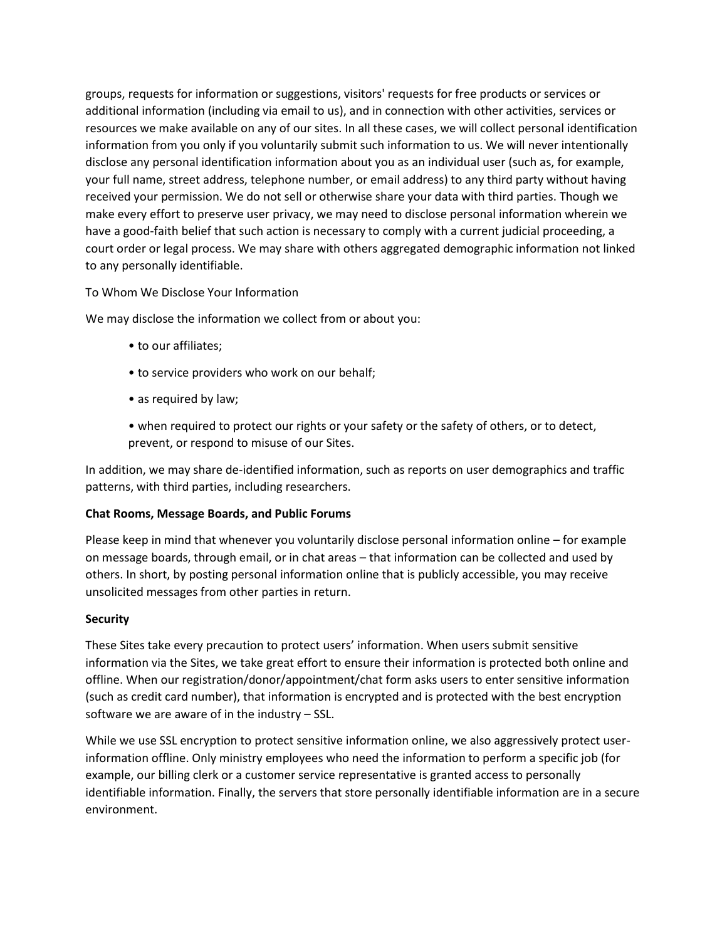groups, requests for information or suggestions, visitors' requests for free products or services or additional information (including via email to us), and in connection with other activities, services or resources we make available on any of our sites. In all these cases, we will collect personal identification information from you only if you voluntarily submit such information to us. We will never intentionally disclose any personal identification information about you as an individual user (such as, for example, your full name, street address, telephone number, or email address) to any third party without having received your permission. We do not sell or otherwise share your data with third parties. Though we make every effort to preserve user privacy, we may need to disclose personal information wherein we have a good-faith belief that such action is necessary to comply with a current judicial proceeding, a court order or legal process. We may share with others aggregated demographic information not linked to any personally identifiable.

## To Whom We Disclose Your Information

We may disclose the information we collect from or about you:

- to our affiliates;
- to service providers who work on our behalf;
- as required by law;
- when required to protect our rights or your safety or the safety of others, or to detect, prevent, or respond to misuse of our Sites.

In addition, we may share de-identified information, such as reports on user demographics and traffic patterns, with third parties, including researchers.

#### **Chat Rooms, Message Boards, and Public Forums**

Please keep in mind that whenever you voluntarily disclose personal information online – for example on message boards, through email, or in chat areas – that information can be collected and used by others. In short, by posting personal information online that is publicly accessible, you may receive unsolicited messages from other parties in return.

#### **Security**

These Sites take every precaution to protect users' information. When users submit sensitive information via the Sites, we take great effort to ensure their information is protected both online and offline. When our registration/donor/appointment/chat form asks users to enter sensitive information (such as credit card number), that information is encrypted and is protected with the best encryption software we are aware of in the industry – SSL.

While we use SSL encryption to protect sensitive information online, we also aggressively protect userinformation offline. Only ministry employees who need the information to perform a specific job (for example, our billing clerk or a customer service representative is granted access to personally identifiable information. Finally, the servers that store personally identifiable information are in a secure environment.